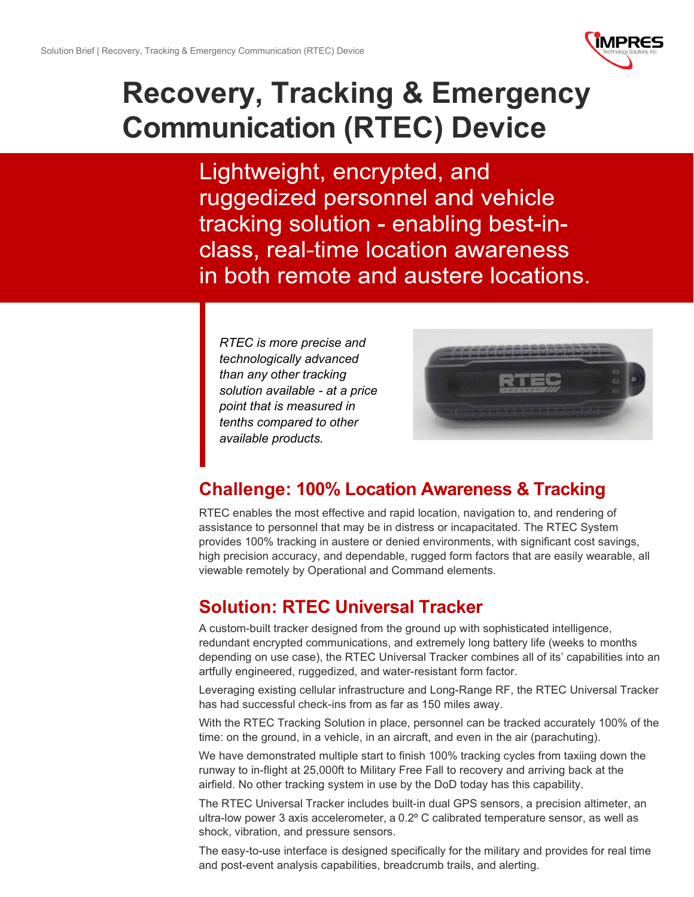

# **Recovery, Tracking & Emergency Communication (RTEC) Device**

Lightweight, encrypted, and ruggedized personnel and vehicle tracking solution - enabling best-inclass, real-time location awareness in both remote and austere locations.

*RTEC is more precise and technologically advanced than any other tracking solution available - at a price point that is measured in tenths compared to other available products.*



# **Challenge: 100% Location Awareness & Tracking**

RTEC enables the most effective and rapid location, navigation to, and rendering of assistance to personnel that may be in distress or incapacitated. The RTEC System provides 100% tracking in austere or denied environments, with significant cost savings, high precision accuracy, and dependable, rugged form factors that are easily wearable, all viewable remotely by Operational and Command elements.

# **Solution: RTEC Universal Tracker**

A custom-built tracker designed from the ground up with sophisticated intelligence, redundant encrypted communications, and extremely long battery life (weeks to months depending on use case), the RTEC Universal Tracker combines all of its' capabilities into an artfully engineered, ruggedized, and water-resistant form factor.

Leveraging existing cellular infrastructure and Long-Range RF, the RTEC Universal Tracker has had successful check-ins from as far as 150 miles away.

With the RTEC Tracking Solution in place, personnel can be tracked accurately 100% of the time: on the ground, in a vehicle, in an aircraft, and even in the air (parachuting).

We have demonstrated multiple start to finish 100% tracking cycles from taxiing down the runway to in-flight at 25,000ft to Military Free Fall to recovery and arriving back at the airfield. No other tracking system in use by the DoD today has this capability.

The RTEC Universal Tracker includes built-in dual GPS sensors, a precision altimeter, an ultra-low power 3 axis accelerometer, a 0.2⁰ C calibrated temperature sensor, as well as shock, vibration, and pressure sensors.

The easy-to-use interface is designed specifically for the military and provides for real time and post-event analysis capabilities, breadcrumb trails, and alerting.